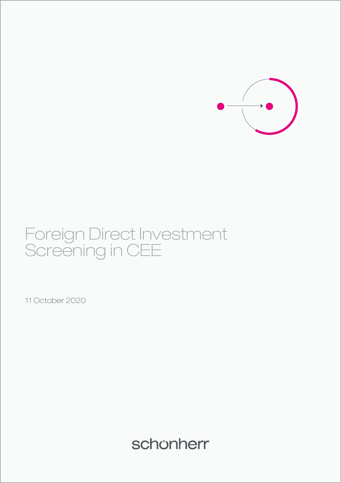

# Foreign Direct Investment Screening in CEE

11 October 2020

schonherr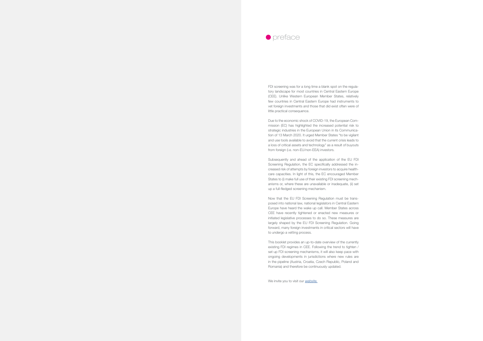FDI screening was for a long time a blank spot on the regulatory landscape for most countries in Central Eastern Europe (CEE). Unlike Western European Member States, relatively few countries in Central Eastern Europe had instruments to vet foreign investments and those that did exist often were of little practical consequence.

Due to the economic shock of COVID-19, the European Commission (EC) has highlighted the increased potential risk to strategic industries in the European Union in its Communication of 13 March 2020. It urged Member States "to be vigilant and use tools available to avoid that the current crisis leads to a loss of critical assets and technology" as a result of buyouts from foreign (i.e. non-EU/non-EEA) investors.

Subsequently and ahead of the application of the EU FDI Screening Regulation, the EC specifically addressed the increased risk of attempts by foreign investors to acquire healthcare capacities. In light of this, the EC encouraged Member States to (i) make full use of their existing FDI screening mechanisms or, where these are unavailable or inadequate, (ii) set up a full-fledged screening mechanism.

Now that the EU FDI Screening Regulation must be transposed into national law, national legislators in Central Eastern Europe have heard the wake up call. Member States across CEE have recently tightened or enacted new measures or initiated legislative processes to do so. These measures are largely shaped by the EU FDI Screening Regulation. Going forward, many foreign investments in critical sectors will have to undergo a vetting process.

This booklet provides an up-to-date overview of the currently existing FDI regimes in CEE. Following the trend to tighten / set up FDI screening mechanisms, it will also keep pace with ongoing developments in jurisdictions where new rules are in the pipeline (Austria, Croatia, Czech Republic, Poland and Romania) and therefore be continuously updated.



We invite you to visit our *[website](https://knowledge.schoenherr.eu/pg/foreign-direct-investment-screening/).*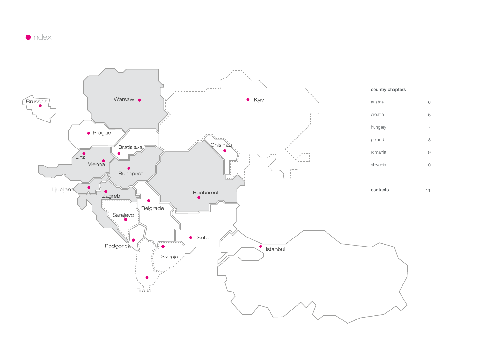11



# country chapters

| austria  |    |
|----------|----|
| croatia  | 6  |
| hungary  | 7  |
| poland   | 8  |
| romania  | 9  |
| slovenia | 10 |

contacts



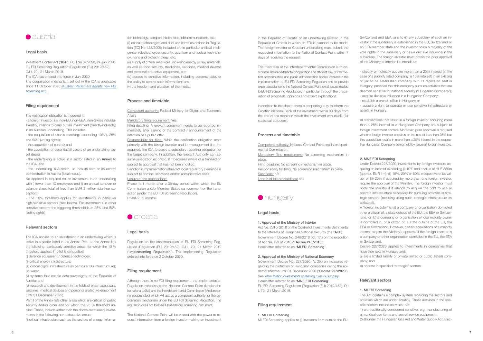

#### Legal basis

Investment Control Act ("ICA"), OJ, I No 87/2020, 24 July 2020. EU FDI Screening Regulation (Regulation (EU) 2019/452), OJ L 79I, 21 March 2019. The ICA has entered into force in July 2020. The cooperation mechanism set out in the ICA is applicable since 11 October 2020 *[\(Austrian Parliament adopts new FDI](https://www.schoenherr.eu/publications/publication-detail/austrian-parliament-adopts-new-fdi-screening-act/) [screening act\).](https://www.schoenherr.eu/publications/publication-detail/austrian-parliament-adopts-new-fdi-screening-act/)*

#### Filing requirement

The notification obligation is triggered if:

- a foreign investor, i.e. non-EU, non-EEA, non-Swiss individual/entity, intends to carry out an investment (directly/indirectly) in an Austrian undertaking. This includes

- the acquisition of shares reaching/ exceeding 10%\*), 25% and 50% (voting rights);

- the acquisition of control; and

- the acquisition of essential/all assets of an undertaking (asset deals)

- the undertaking is active in a sector listed in an Annex to the ICA, and

- the undertaking is Austrian, i.e. has its seat or its central administration in Austria (local nexus).

No approval is required for an investment in an undertaking with i) fewer than 10 employees and ii) an annual turnover or balance sheet total of less than EUR 2 million (start-up exception).

- The 10% threshold applies for investments in particular high-sensitive sectors (see below). For investments in other sensitive sectors the triggering threshold is at 25% and 50% (voting rights).

#### Relevant sectors

The ICA applies to an investment in an undertaking which is active in a sector listed in the Annex. Part I of the Annex lists the following, particularly sensitive areas, for which the 10 % threshold applies. The list is exhaustive:

(i) defence equipment / defence technology;

(ii) critical energy infrastructure;

(iii) critical digital infrastructure (in particular 5G infrastructure); (iv) water;

(v) systems that enable data sovereignty of the Republic of Austria; and

(vi) research and development in the fields of pharmaceuticals, vaccines, medical devices and personal protective equipment (until 31 December 2022).

Part II of the Annex lists other areas which are critical for public security and/or order and for which the 25 % threshold applies. These, include (other than the above-mentioned) investments in the following non-exhaustive areas:

(i) critical infrastructure such as the sectors of energy, informa-

tion technology, transport, health, food, telecommunications, etc.; (ii) critical technologies and dual use items as defined in Regulation (EC) No 428/2009; included are in particular artificial intelligence, robotics, cyber security, quantum and nuclear technology, nano and biotechnology, etc;

(iii) supply of critical resources, including energy or raw materials, as well as food security, medicines, vaccines, medical devices and personal protective equipment, etc;

(iv) access to sensitive information, including personal data, or the ability to control such information; and

(v) the freedom and pluralism of the media.

### Process and timetable

Filing deadline: No screening mechanism in place. Responsibility for filing: No screening mechanism in place. Sanctions: n/a

Length of the proceedings: n/a

Competent authority: Federal Ministry for Digital and Economic Affairs

Mandatory filing requirement: Yes

Filing deadline: A relevant agreement needs to be reported immediately after signing of the contract / announcement of the intention of a public offer.

Responsibility for filing: While the notification obligation rests primarily with the foreign investor and its management (i.e. the acquirer), the ICA foresees a subsidiary reporting obligation for the target company. In addition, the relevant Authority can assume jurisdiction ex officio, if it becomes aware of a transaction subject to approval that has not been notified.

Switzerland and EEA, and to (ii) any subsidiary of such an investor if the subsidiary is established in the EU, Switzerland or an EEA member state and the investor holds a majority of the vote rights in the subsidiary or has a decisive influence in the subsidiary. The foreign investor must obtain the prior approval of the Ministry of Interior if it intends to:

Sanctions: Implementation ahead of local regulatory clearance is subject to criminal sanctions and/or administrative fines. Length of the proceedings:

Phase 1: 1 month after a 35-day period within which the EU Commission and/or Member States can comment on the transaction (under the EU FDI Screening Regulation). Phase 2: 2 months.



#### Legal basis

All transactions that result in a foreign investor acquiring more than a 25% interest in a Hungarian Company are subject to foreign investment control. Moreover, prior approval is required when a foreign investor acquires an interest of less than 25% but this acquisition results in more than a 25% interest in the respective Hungarian Company being held by (several) foreign investors.

Regulation on the implementation of EU FDI Screening Regulation (Regulation (EU) 2019/452), OJ L 79I, 21 March 2019 ("Implementing Regulation"). The Implementing Regulation entered into force on 2 October 2020.

#### Filing requirement

Although there is no FDI filing requirement, the Implementation Regulation establishes the National Contact Point (Nacionalna kontaktna točka) and the Interdepartmental Commission (Međuresorno povjerenstvo) which will act as a competent authority for the coordination mechanism under the EU FDI Screening Regulation. The regulation does not foresee a (mandatory) screening instrument.

The National Contact Point will be vested with the power to request information from a foreign investor making an investment

in the Republic of Croatia or an undertaking located in the Republic of Croatia in which an FDI is planned to be made. The foreign investor or Croatian undertaking must submit the requested information to the National Contact Point within 7 days of receiving the request.

The main task of the Interdepartmental Commission is to coordinate interdepartmental cooperation and efficient flow of information between state and public administration bodies involved in the implementation of EU FDI Screening Regulation and to provide expert assistance to the National Contact Point on all issues related to EU FDI Screening Regulation, in particular through the preparation of proposals, opinions and expert explanations.

In addition to the above, there is a reporting duty to inform the Croatian National Bank of the investment within 30 days from the end of the month in which the investment was made (for statistical purposes).

#### Process and timetable

Competent authority: National Contact Point and Interdepartmental Commission.

Mandatory filing requirement: No screening mechanism in place.



#### Legal basis

#### 1. Approval of the Ministry of Interior

Act No. LVII of 2018 on the Control of Investments Detrimental to the Interests of Hungarian National Security (the "Act"). Government Decree No. 246/2018 (XII. 17.) on the execution of Act No. LVII of 2018 ("Decree 246/2018"). Hereinafter referred to as "MI FDI Screening".

#### 2. Approval of the Ministry of National Economy

Government Decree No. 227/2020. (V. 25.) on measures regarding the protection of Hungarian companies during the epidemic effective until 31 December 2020 ("Decree 227/2020"). See: *[New foreign investments screening rules in Hungary](https://www.schoenherr.eu/publications/publication-detail/new-foreign-investments-screening-rules-in-hungary/)*

Hereinafter referred to as "MNE FDI Screening".

EU FDI Screening Regulation (Regulation (EU) 2019/452), OJ

L 79I, 21 March 2019.

#### Filing requirement

#### 1. MI FDI Screening

MI FDI Screening applies to (i) investors from outside the EU,

- directly or indirectly acquire more than a 25% interest (in the case of a publicly listed company, a 10% interest) in an existing or yet to be established company with its registered seat in Hungary, provided that this company pursues activities that are deemed sensitive for national security ("Hungarian Company"); - acquire decisive influence in a Hungarian Company;

- establish a branch office in Hungary; or

- acquire a right to operate or use sensitive infrastructure or assets in Hungary.

#### 2. MNE FDI Screening

Under Decree 227/2020, investments by foreign investors acquiring an interest exceeding (i) 10% and a value of HUF 350m (approx. EUR 1m), (ii) 15%, 20% or 50% irrespective of its value, or (iii) 25% if acquired by more than one foreign investor, require the approval of the Ministry. The foreign investor must notify the Ministry if it intends to acquire the right to use or operate infrastructure necessary for pursuing activities in strategic sectors (including using such strategic infrastructure as collateral).

A "foreign investor" is (a) a company or organisation domiciled in, or a citizen of, a state outside of the EU, the EEA or Switzerland, or (b) a company or organisation whose majority owner is domiciled in, or a citizen of, a state outside of the EU, the EEA or Switzerland. However, certain acquisitions of a majority interest require the Ministry's approval if the foreign investor is a company or other organisation domiciled in the EU, the EEA or Switzerland.

Decree 227/2020 applies to investments in companies that have their seat in Hungary and:

a) are a limited liability or private limited or public (listed) company; and

b) operate in specified "strategic" sectors.

#### Relevant sectors

#### 1. MI FDI Screening

The Act contains a complex system regarding the sectors and activities which are under scrutiny. These activities in the specific sectors include activities that:

1) are traditionally considered sensitive, e.g. manufacturing of arms, dual-use items and secret service equipment;

2) all under the Hungarian Gas Act and Water Supply Act, Elec-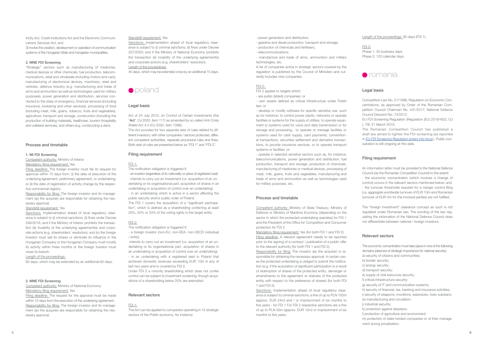FDI 2: Phase 1: 30 business days. Phase 2: 120 calendar days.



### Legal basis

Competition Law No. 21/1996; Regulation on Economic Con centrations, as approved by Order of the Romanian Com petition Council Chairman No. 431/2017; National Defence Council Decision No. 73/2012.

EU FDI Screening Regulation (Regulation (EU) 2019/452), OJ L 79I, 21 March 2019.

The Romanian Competition Council has published a draft law aimed to tighten the FDI-screening (as reported in *[EU FDI Screening Regulation enters into force](https://www.schoenherr.eu/publications/publication-detail/romania-plans-to-tighten-its-foreign-investment-screening-rules/)* ). Public con sultation Is still ongoing at this date.

### Filing requirement

An information letter must be provided to the National Defence Council (via the Romanian Competition Council) to the extent: - the economic concentration (which involves a change of control) occurs in the relevant sectors mentioned below; and - the turnover thresholds required for a merger control filing (i.e. aggregate worldwide turnover of EUR 10m and Romanian turnover of EUR 4m for the involved parties) are not fulfilled.

The "foreign investment" clearance concept as such is not regulated under Romanian law. The wording of the law reg ulating the information of the National Defence Council does not differentiate between national / foreign investors.

#### Relevant sectors

The economic concentration must take place in one of the following domains (deemed of strategic importance for national security):

- a) security of citizens and communities;
- b) border security;
- c) energy security;
- d) transport security;
- e) supply of vital resources security;
- f) critical infrastructure security;
- g) security of IT and communication systems;
- h) security of financial, tax, banking and insurance activities;
- i) security of weapons, munitions, explosives, toxic substanc-
- es manufacturing and circulation;
- i) industrial security:
- k) protection against disasters;
- l) protection of agriculture and environment;
- m) protection of state funded companies or of their manage -
- ment during privatisation.

Responsibility for filing: The foreign investor and its management (as the acquirer) are responsible for obtaining the nec essary approval.

tricity Act, Credit Institutions Act and the Electronic Communi cations Services Act; and

Sanctions: Implementation ahead of local regulatory clearance is subject to (i) criminal sanctions; (ii) fines under Decree 246/2018; and if the Ministry of Interior prohibits the transac tion (iii) invalidity of the underlying agreement(s) and corpo rate actions (e.g. shareholders' resolution); and (iv) the foreign investor must sell its shares or eliminate its influence in the Hungarian Company or the Hungarian Company must modify its activity within three months or the foreign investor must close its branch.

3) involve the creation, development or operation of communication systems of the Hungarian State and Hungarian municipalities.

#### 2. MNE FDI Screening

Filing deadline: The request for the approval must be made within 10 days from the execution of the underlying agreement. Responsibility for filing: The foreign investor and its management (as the acquirer) are responsible for obtaining the nec essary approval.

Standstill requirement: Yes

Sanctions: Implementation ahead of local regulatory clearance is subject to (i) criminal sanctions; (ii) fines under Decree 227/2020; and if the Ministry of National Economy prohibits the transaction (iii) invalidity of the underlying agreement(s) and corporate actions (e.g. shareholders' resolution). Length of the proceedings:

Act of 24 July 2015, on Control of Certain Investments (the "Act", OJ 2020, item 117) as amended by so called Anti-Crisis Shield Act 4.0 (OJ 2020, item 1086).

"Strategic" sectors such as manufacturing of medicines, medical devices or other chemicals, fuel production, telecom munications, retail and wholesale (including motors and cars), manufacturing of electronical devices, machinery, steel and vehicles, defence industry (e.g. manufacturing and trade of arms and ammunition as well as technologies used for military purposes), power generation and distribution, services con nected to the state of emergency, financial services (including insurance, brokering and other services), processing of food (including meat, milk, grains, tobacco, fruits and vegetables), agriculture, transport and storage, construction (including the production of building materials), healthcare, tourism (hospitality and cafeteria services), and others (e.g. constructing a dam).

#### Process and timetable

#### 1. MI FDI Screening

Competent authority: Ministry of Interior Mandatory filing requirement: Yes

> -intends to carry out an investment (i.e. acquisition of an undertaking or its organisational part, acquisition of shares in an undertaking or acquisition of control over an undertaking) - in an undertaking with a registered seat in Poland that achieved domestic revenues exceeding EUR 10m in any of last two years and is covered by FDI 2.

Filing deadline: The foreign investor must file its request for approval within 10 days from: (i) the date of execution of the underlying agreement, preliminary agreement, or undertaking; or (ii) the date of registration of activity change by the respec tive commercial registry.

#### Standstill requirement: Yes

- develop or modify software for specific sensitive use, such as for instance: to control power plants, networks or operate facilities or systems for the supply of utilities, to operate equipment or systems used for voice and data transmission or for storage and processing, to operate or manage facilities or systems used for cash supply, card payments, convention al transactions, securities settlement and derivative transac tions, to provide insurance services, or to operate transport systems or facilities ; or

#### Length of the proceedings:

60 days, which may be extended by an additional 60 days.

#### 2. MNE FDI Screening

Competent authority: Ministry of National Economy Mandatory filing requirement: Yes

Responsibility for filing: The investor (as the acquirer) is responsible for obtaining the necessary approval. In certain cas es the protected undertaking is obliged to submit the notifica tion (e.g. if the acquisition of significant participation is a result of redemption of shares of the protected entity, demerger or amendments to the agreement or statutes of the protected entity with respect to the preference of shares) (for both FDI 1 and FDI 2).

Sanctions: Implementation ahead of local regulatory clearance is subject to criminal sanctions: a fine of up to PLN 100m (approx. EUR 24m) and / or imprisonment of six months to five years - for FDI 1 For FDI 2 respective sanctions are a fine of up to PLN 50m (approx. EUR 12m) or imprisonment of six months to five years.

45 days, which may be extended once by an additional 15 days.



#### Legal basis

The Act provides for two separate sets of rules related to dif ferent investors, with other companies / sectors protected, different competent authorities, separate procedural rules and fines. Both sets of rules are presented below as "FDI 1" and "FDI 2".

#### Filing requirement

#### FDI 1:

The notification obligation is triggered if:

- an investor (regardless of its nationality or place of registered seat) - intends to carry out an investment (i.e. acquisition of an undertaking or its organisational part, acquisition of shares in an undertaking or acquisition of control over an undertaking)

- in an undertaking which is active in a sector affecting the public security and/or public order of Poland.

The FDI 1 covers the acquisition of a "significant participa tion", which is defined as a shareholding conferring at least 20%, 25% or 33% of the voting rights in the target entity.

#### FDI 2:

The notification obligation is triggered if:

- a foreign investor (non-EU, non-EEA, non-OECD individual / entity)

Under FDI 2 a minority shareholding which does not confer control can be subject to investment screening, though acqui sitions of a shareholding below 20% are exempted.

#### Relevant sectors

#### FDI 1:

The Act can be applied to companies operating in 15 strategic sectors of the Polish economy, for instance:

- power generation and distribution;
- gasoline and diesel production, transport and storage;
- production of chemicals and fertilisers;
- telecommunications;

- manufacture and trade of arms, ammunition and military technologies, etc.

A list of companies active in strategic sectors covered by the regulation is published by the Council of Ministers and cur rently includes nine companies.

#### FDI 2:

FDI 2 applies to targets which:

- are public (listed) companies; or

- own assets defined as critical infrastructure under Polish law; or

- operate in selected sensitive sectors such as, for instance: telecommunications, power generation and distribution, fuel production, transport and storage, production of chemicals, manufacturing of medicines or medical devices, processing of meat, milk, grains, fruits and vegetables, manufacturing and trade of arms and ammunition as well as technologies used for military purposes, etc.

#### Process and timetable

Competent authority: Ministry of State Treasury, Ministry of Defence or Ministry of Maritime Economy (depending on the sector in which the protected undertaking operates) for FDI 1 and the President of the Office for Competition and Consumer protection for FDI 2.

Mandatory filing requirement: Yes (for both FDI 1 and FDI 2) Filing deadline: A relevant agreement needs to be reported prior to the signing of a contract / publication of a public offer to the relevant authority (for both FDI 1 and FDI 2).

Length of the proceedings: 90 days (FDI 1).